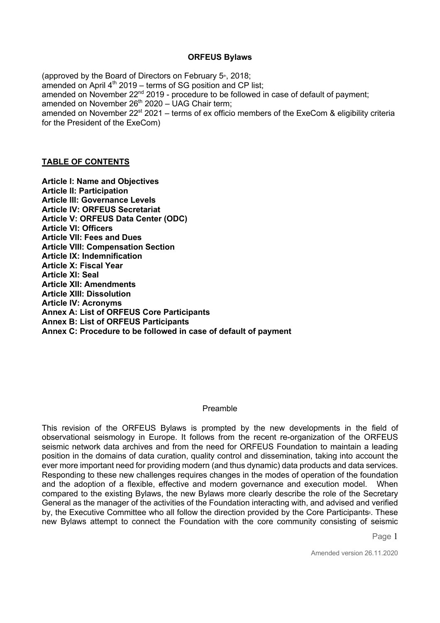### **ORFEUS Bylaws**

(approved by the Board of Directors on February  $5<sup>*</sup>$ , 2018; amended on April  $4<sup>th</sup>$  2019 – terms of SG position and CP list; amended on November  $22<sup>nd</sup> 2019$  - procedure to be followed in case of default of payment; amended on November  $26<sup>th</sup> 2020 - UAG Chair term$ ; amended on November  $22^{st}$  2021 – terms of ex officio members of the ExeCom & eligibility criteria for the President of the ExeCom)

### **TABLE OF CONTENTS**

**Article I: Name and Objectives Article II: Participation Article III: Governance Levels Article IV: ORFEUS Secretariat Article V: ORFEUS Data Center (ODC) Article VI: Officers Article VII: Fees and Dues Article VIII: Compensation Section Article IX: Indemnification Article X: Fiscal Year Article XI: Seal Article XII: Amendments Article XIII: Dissolution Article IV: Acronyms Annex A: List of ORFEUS Core Participants Annex B: List of ORFEUS Participants Annex C: Procedure to be followed in case of default of payment**

#### Preamble

This revision of the ORFEUS Bylaws is prompted by the new developments in the field of observational seismology in Europe. It follows from the recent re-organization of the ORFEUS seismic network data archives and from the need for ORFEUS Foundation to maintain a leading position in the domains of data curation, quality control and dissemination, taking into account the ever more important need for providing modern (and thus dynamic) data products and data services. Responding to these new challenges requires changes in the modes of operation of the foundation and the adoption of a flexible, effective and modern governance and execution model. When compared to the existing Bylaws, the new Bylaws more clearly describe the role of the Secretary General as the manager of the activities of the Foundation interacting with, and advised and verified by, the Executive Committee who all follow the direction provided by the Core Participants<sup>§</sup>. These new Bylaws attempt to connect the Foundation with the core community consisting of seismic

Page 1

Amended version 26.11.2020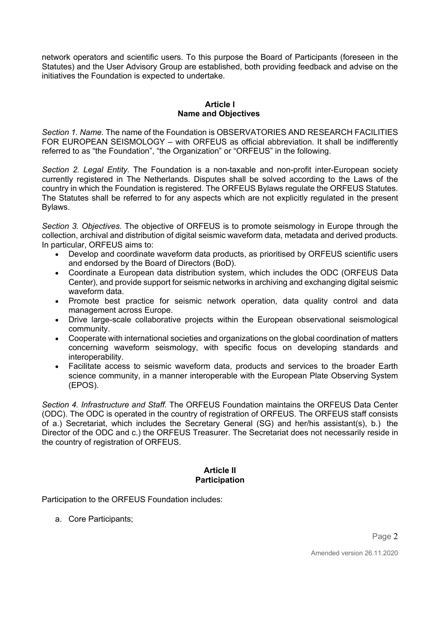network operators and scientific users. To this purpose the Board of Participants (foreseen in the Statutes) and the User Advisory Group are established, both providing feedback and advise on the initiatives the Foundation is expected to undertake.

### **Article I Name and Objectives**

*Section 1. Name.* The name of the Foundation is OBSERVATORIES AND RESEARCH FACILITIES FOR EUROPEAN SEISMOLOGY – with ORFEUS as official abbreviation. It shall be indifferently referred to as "the Foundation", "the Organization" or "ORFEUS" in the following.

*Section 2. Legal Entity.* The Foundation is a non-taxable and non-profit inter-European society currently registered in The Netherlands. Disputes shall be solved according to the Laws of the country in which the Foundation is registered. The ORFEUS Bylaws regulate the ORFEUS Statutes. The Statutes shall be referred to for any aspects which are not explicitly regulated in the present Bylaws.

*Section 3. Objectives.* The objective of ORFEUS is to promote seismology in Europe through the collection, archival and distribution of digital seismic waveform data, metadata and derived products. In particular, ORFEUS aims to:

- Develop and coordinate waveform data products, as prioritised by ORFEUS scientific users and endorsed by the Board of Directors (BoD).
- Coordinate a European data distribution system, which includes the ODC (ORFEUS Data Center), and provide support for seismic networks in archiving and exchanging digital seismic waveform data.
- Promote best practice for seismic network operation, data quality control and data management across Europe.
- Drive large-scale collaborative projects within the European observational seismological community.
- Cooperate with international societies and organizations on the global coordination of matters concerning waveform seismology, with specific focus on developing standards and interoperability.
- Facilitate access to seismic waveform data, products and services to the broader Earth science community, in a manner interoperable with the European Plate Observing System (EPOS).

*Section 4. Infrastructure and Staff.* The ORFEUS Foundation maintains the ORFEUS Data Center (ODC). The ODC is operated in the country of registration of ORFEUS. The ORFEUS staff consists of a.) Secretariat, which includes the Secretary General (SG) and her/his assistant(s), b.) the Director of the ODC and c.) the ORFEUS Treasurer. The Secretariat does not necessarily reside in the country of registration of ORFEUS.

### **Article II Participation**

Participation to the ORFEUS Foundation includes:

a. Core Participants;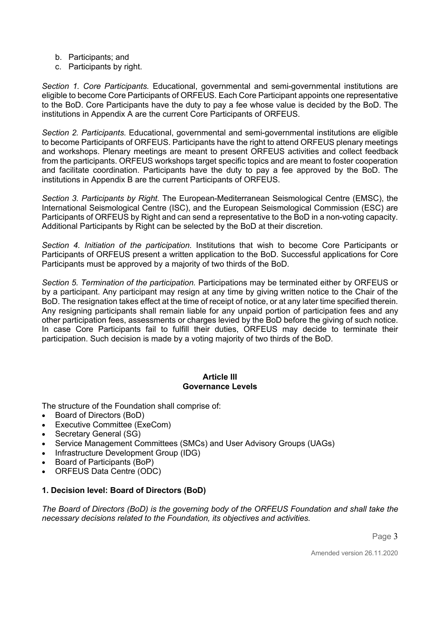- b. Participants; and
- c. Participants by right.

*Section 1. Core Participants.* Educational, governmental and semi-governmental institutions are eligible to become Core Participants of ORFEUS. Each Core Participant appoints one representative to the BoD. Core Participants have the duty to pay a fee whose value is decided by the BoD. The institutions in Appendix A are the current Core Participants of ORFEUS.

*Section 2. Participants.* Educational, governmental and semi-governmental institutions are eligible to become Participants of ORFEUS. Participants have the right to attend ORFEUS plenary meetings and workshops. Plenary meetings are meant to present ORFEUS activities and collect feedback from the participants. ORFEUS workshops target specific topics and are meant to foster cooperation and facilitate coordination. Participants have the duty to pay a fee approved by the BoD. The institutions in Appendix B are the current Participants of ORFEUS.

*Section 3. Participants by Right.* The European-Mediterranean Seismological Centre (EMSC), the International Seismological Centre (ISC), and the European Seismological Commission (ESC) are Participants of ORFEUS by Right and can send a representative to the BoD in a non-voting capacity. Additional Participants by Right can be selected by the BoD at their discretion.

*Section 4. Initiation of the participation.* Institutions that wish to become Core Participants or Participants of ORFEUS present a written application to the BoD. Successful applications for Core Participants must be approved by a majority of two thirds of the BoD.

*Section 5. Termination of the participation.* Participations may be terminated either by ORFEUS or by a participant. Any participant may resign at any time by giving written notice to the Chair of the BoD. The resignation takes effect at the time of receipt of notice, or at any later time specified therein. Any resigning participants shall remain liable for any unpaid portion of participation fees and any other participation fees, assessments or charges levied by the BoD before the giving of such notice. In case Core Participants fail to fulfill their duties, ORFEUS may decide to terminate their participation. Such decision is made by a voting majority of two thirds of the BoD.

### **Article III Governance Levels**

The structure of the Foundation shall comprise of:

- Board of Directors (BoD)
- Executive Committee (ExeCom)
- Secretary General (SG)
- Service Management Committees (SMCs) and User Advisory Groups (UAGs)
- Infrastructure Development Group (IDG)
- Board of Participants (BoP)
- ORFEUS Data Centre (ODC)

# **1. Decision level: Board of Directors (BoD)**

*The Board of Directors (BoD) is the governing body of the ORFEUS Foundation and shall take the necessary decisions related to the Foundation, its objectives and activities.*

Page 3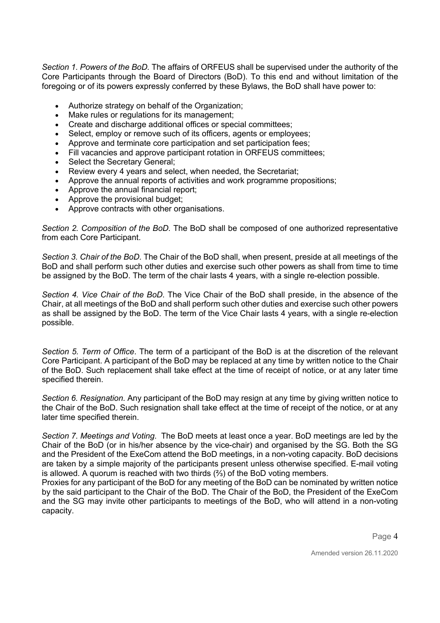*Section 1. Powers of the BoD.* The affairs of ORFEUS shall be supervised under the authority of the Core Participants through the Board of Directors (BoD). To this end and without limitation of the foregoing or of its powers expressly conferred by these Bylaws, the BoD shall have power to:

- Authorize strategy on behalf of the Organization;
- Make rules or regulations for its management;
- Create and discharge additional offices or special committees;
- Select, employ or remove such of its officers, agents or employees;
- Approve and terminate core participation and set participation fees;
- Fill vacancies and approve participant rotation in ORFEUS committees;
- Select the Secretary General:
- Review every 4 years and select, when needed, the Secretariat;
- Approve the annual reports of activities and work programme propositions;
- Approve the annual financial report;
- Approve the provisional budget:
- Approve contracts with other organisations.

*Section 2. Composition of the BoD.* The BoD shall be composed of one authorized representative from each Core Participant.

*Section 3. Chair of the BoD*. The Chair of the BoD shall, when present, preside at all meetings of the BoD and shall perform such other duties and exercise such other powers as shall from time to time be assigned by the BoD. The term of the chair lasts 4 years, with a single re-election possible.

*Section 4. Vice Chair of the BoD*. The Vice Chair of the BoD shall preside, in the absence of the Chair, at all meetings of the BoD and shall perform such other duties and exercise such other powers as shall be assigned by the BoD. The term of the Vice Chair lasts 4 years, with a single re-election possible.

*Section 5. Term of Office*. The term of a participant of the BoD is at the discretion of the relevant Core Participant. A participant of the BoD may be replaced at any time by written notice to the Chair of the BoD. Such replacement shall take effect at the time of receipt of notice, or at any later time specified therein.

*Section 6. Resignation.* Any participant of the BoD may resign at any time by giving written notice to the Chair of the BoD. Such resignation shall take effect at the time of receipt of the notice, or at any later time specified therein.

*Section 7. Meetings and Voting*. The BoD meets at least once a year. BoD meetings are led by the Chair of the BoD (or in his/her absence by the vice-chair) and organised by the SG. Both the SG and the President of the ExeCom attend the BoD meetings, in a non-voting capacity. BoD decisions are taken by a simple majority of the participants present unless otherwise specified. E-mail voting is allowed. A quorum is reached with two thirds (⅔) of the BoD voting members.

Proxies for any participant of the BoD for any meeting of the BoD can be nominated by written notice by the said participant to the Chair of the BoD. The Chair of the BoD, the President of the ExeCom and the SG may invite other participants to meetings of the BoD, who will attend in a non-voting capacity.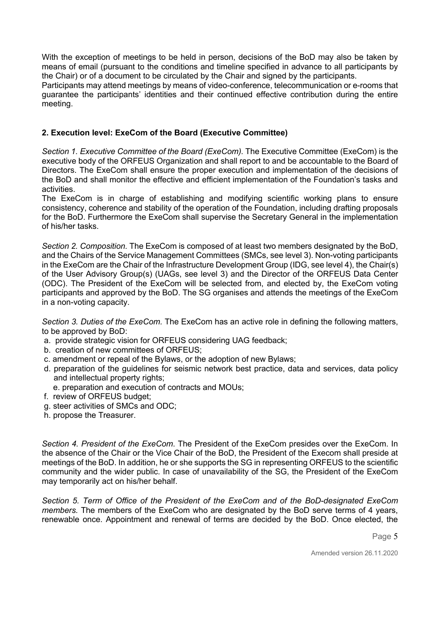With the exception of meetings to be held in person, decisions of the BoD may also be taken by means of email (pursuant to the conditions and timeline specified in advance to all participants by the Chair) or of a document to be circulated by the Chair and signed by the participants.

Participants may attend meetings by means of video-conference, telecommunication or e-rooms that guarantee the participants' identities and their continued effective contribution during the entire meeting.

## **2. Execution level: ExeCom of the Board (Executive Committee)**

*Section 1. Executive Committee of the Board (ExeCom).* The Executive Committee (ExeCom) is the executive body of the ORFEUS Organization and shall report to and be accountable to the Board of Directors. The ExeCom shall ensure the proper execution and implementation of the decisions of the BoD and shall monitor the effective and efficient implementation of the Foundation's tasks and activities.

The ExeCom is in charge of establishing and modifying scientific working plans to ensure consistency, coherence and stability of the operation of the Foundation, including drafting proposals for the BoD. Furthermore the ExeCom shall supervise the Secretary General in the implementation of his/her tasks.

*Section 2. Composition.* The ExeCom is composed of at least two members designated by the BoD, and the Chairs of the Service Management Committees (SMCs, see level 3). Non-voting participants in the ExeCom are the Chair of the Infrastructure Development Group (IDG, see level 4), the Chair(s) of the User Advisory Group(s) (UAGs, see level 3) and the Director of the ORFEUS Data Center (ODC). The President of the ExeCom will be selected from, and elected by, the ExeCom voting participants and approved by the BoD. The SG organises and attends the meetings of the ExeCom in a non-voting capacity.

*Section 3. Duties of the ExeCom.* The ExeCom has an active role in defining the following matters, to be approved by BoD:

- a. provide strategic vision for ORFEUS considering UAG feedback;
- b. creation of new committees of ORFEUS;
- c. amendment or repeal of the Bylaws, or the adoption of new Bylaws;
- d. preparation of the guidelines for seismic network best practice, data and services, data policy and intellectual property rights;
- e. preparation and execution of contracts and MOUs;
- f. review of ORFEUS budget;
- g. steer activities of SMCs and ODC;
- h. propose the Treasurer.

*Section 4. President of the ExeCom*. The President of the ExeCom presides over the ExeCom. In the absence of the Chair or the Vice Chair of the BoD, the President of the Execom shall preside at meetings of the BoD. In addition, he or she supports the SG in representing ORFEUS to the scientific community and the wider public. In case of unavailability of the SG, the President of the ExeCom may temporarily act on his/her behalf.

*Section 5. Term of Office of the President of the ExeCom and of the BoD-designated ExeCom members.* The members of the ExeCom who are designated by the BoD serve terms of 4 years, renewable once. Appointment and renewal of terms are decided by the BoD. Once elected, the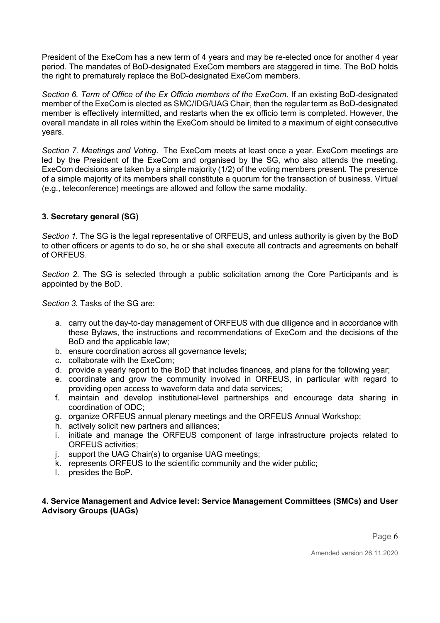President of the ExeCom has a new term of 4 years and may be re-elected once for another 4 year period. The mandates of BoD-designated ExeCom members are staggered in time. The BoD holds the right to prematurely replace the BoD-designated ExeCom members.

*Section 6. Term of Office of the Ex Officio members of the ExeCom.* If an existing BoD-designated member of the ExeCom is elected as SMC/IDG/UAG Chair, then the regular term as BoD-designated member is effectively intermitted, and restarts when the ex officio term is completed. However, the overall mandate in all roles within the ExeCom should be limited to a maximum of eight consecutive years.

*Section 7. Meetings and Voting*. The ExeCom meets at least once a year. ExeCom meetings are led by the President of the ExeCom and organised by the SG, who also attends the meeting. ExeCom decisions are taken by a simple majority (1/2) of the voting members present. The presence of a simple majority of its members shall constitute a quorum for the transaction of business. Virtual (e.g., teleconference) meetings are allowed and follow the same modality.

# **3. Secretary general (SG)**

*Section 1.* The SG is the legal representative of ORFEUS, and unless authority is given by the BoD to other officers or agents to do so, he or she shall execute all contracts and agreements on behalf of ORFEUS.

*Section 2.* The SG is selected through a public solicitation among the Core Participants and is appointed by the BoD.

*Section 3.* Tasks of the SG are:

- a. carry out the day-to-day management of ORFEUS with due diligence and in accordance with these Bylaws, the instructions and recommendations of ExeCom and the decisions of the BoD and the applicable law;
- b. ensure coordination across all governance levels;
- c. collaborate with the ExeCom;
- d. provide a yearly report to the BoD that includes finances, and plans for the following year;
- e. coordinate and grow the community involved in ORFEUS, in particular with regard to providing open access to waveform data and data services;
- f. maintain and develop institutional-level partnerships and encourage data sharing in coordination of ODC;
- g. organize ORFEUS annual plenary meetings and the ORFEUS Annual Workshop;
- h. actively solicit new partners and alliances;
- i. initiate and manage the ORFEUS component of large infrastructure projects related to ORFEUS activities;
- j. support the UAG Chair(s) to organise UAG meetings;
- k. represents ORFEUS to the scientific community and the wider public;
- l. presides the BoP.

### **4. Service Management and Advice level: Service Management Committees (SMCs) and User Advisory Groups (UAGs)**

Page 6

Amended version 26.11.2020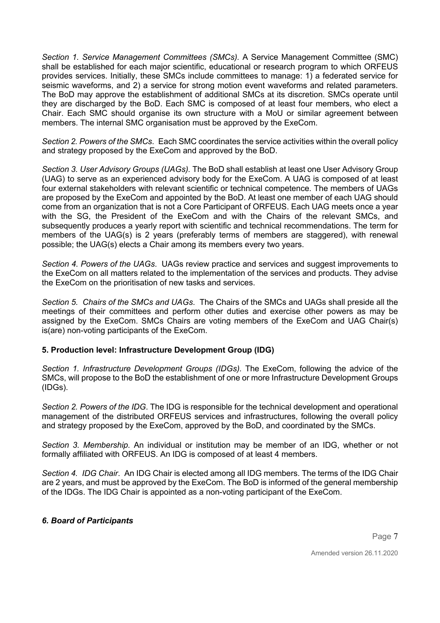*Section 1. Service Management Committees (SMCs).* A Service Management Committee (SMC) shall be established for each major scientific, educational or research program to which ORFEUS provides services. Initially, these SMCs include committees to manage: 1) a federated service for seismic waveforms, and 2) a service for strong motion event waveforms and related parameters. The BoD may approve the establishment of additional SMCs at its discretion. SMCs operate until they are discharged by the BoD. Each SMC is composed of at least four members, who elect a Chair. Each SMC should organise its own structure with a MoU or similar agreement between members. The internal SMC organisation must be approved by the ExeCom.

*Section 2. Powers of the SMCs*. Each SMC coordinates the service activities within the overall policy and strategy proposed by the ExeCom and approved by the BoD.

*Section 3. User Advisory Groups (UAGs).* The BoD shall establish at least one User Advisory Group (UAG) to serve as an experienced advisory body for the ExeCom. A UAG is composed of at least four external stakeholders with relevant scientific or technical competence. The members of UAGs are proposed by the ExeCom and appointed by the BoD. At least one member of each UAG should come from an organization that is not a Core Participant of ORFEUS. Each UAG meets once a year with the SG, the President of the ExeCom and with the Chairs of the relevant SMCs, and subsequently produces a yearly report with scientific and technical recommendations. The term for members of the UAG(s) is 2 years (preferably terms of members are staggered), with renewal possible; the UAG(s) elects a Chair among its members every two years.

*Section 4. Powers of the UAGs*. UAGs review practice and services and suggest improvements to the ExeCom on all matters related to the implementation of the services and products. They advise the ExeCom on the prioritisation of new tasks and services.

*Section 5. Chairs of the SMCs and UAGs*. The Chairs of the SMCs and UAGs shall preside all the meetings of their committees and perform other duties and exercise other powers as may be assigned by the ExeCom. SMCs Chairs are voting members of the ExeCom and UAG Chair(s) is(are) non-voting participants of the ExeCom.

### **5. Production level: Infrastructure Development Group (IDG)**

*Section 1. Infrastructure Development Groups (IDGs).* The ExeCom, following the advice of the SMCs, will propose to the BoD the establishment of one or more Infrastructure Development Groups (IDGs).

*Section 2. Powers of the IDG*. The IDG is responsible for the technical development and operational management of the distributed ORFEUS services and infrastructures, following the overall policy and strategy proposed by the ExeCom, approved by the BoD, and coordinated by the SMCs.

*Section 3. Membership.* An individual or institution may be member of an IDG, whether or not formally affiliated with ORFEUS. An IDG is composed of at least 4 members.

*Section 4. IDG Chair*. An IDG Chair is elected among all IDG members. The terms of the IDG Chair are 2 years, and must be approved by the ExeCom. The BoD is informed of the general membership of the IDGs. The IDG Chair is appointed as a non-voting participant of the ExeCom.

### *6. Board of Participants*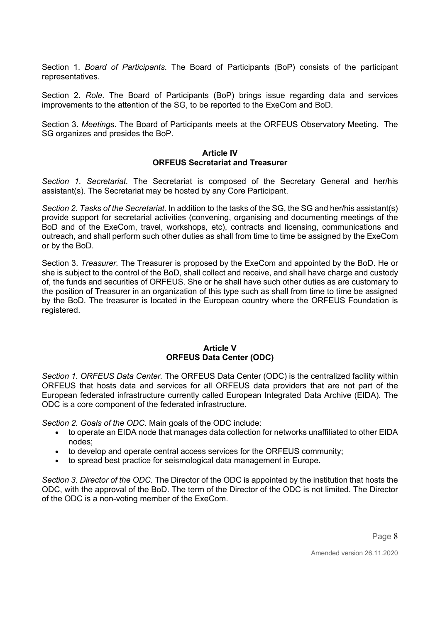Section 1. *Board of Participants*. The Board of Participants (BoP) consists of the participant representatives.

Section 2. *Role*. The Board of Participants (BoP) brings issue regarding data and services improvements to the attention of the SG, to be reported to the ExeCom and BoD.

Section 3. *Meetings*. The Board of Participants meets at the ORFEUS Observatory Meeting. The SG organizes and presides the BoP.

### **Article IV ORFEUS Secretariat and Treasurer**

*Section 1. Secretariat.* The Secretariat is composed of the Secretary General and her/his assistant(s). The Secretariat may be hosted by any Core Participant.

*Section 2. Tasks of the Secretariat.* In addition to the tasks of the SG, the SG and her/his assistant(s) provide support for secretarial activities (convening, organising and documenting meetings of the BoD and of the ExeCom, travel, workshops, etc), contracts and licensing, communications and outreach, and shall perform such other duties as shall from time to time be assigned by the ExeCom or by the BoD.

Section 3. *Treasurer.* The Treasurer is proposed by the ExeCom and appointed by the BoD. He or she is subject to the control of the BoD, shall collect and receive, and shall have charge and custody of, the funds and securities of ORFEUS. She or he shall have such other duties as are customary to the position of Treasurer in an organization of this type such as shall from time to time be assigned by the BoD. The treasurer is located in the European country where the ORFEUS Foundation is registered.

### **Article V ORFEUS Data Center (ODC)**

*Section 1. ORFEUS Data Center.* The ORFEUS Data Center (ODC) is the centralized facility within ORFEUS that hosts data and services for all ORFEUS data providers that are not part of the European federated infrastructure currently called European Integrated Data Archive (EIDA). The ODC is a core component of the federated infrastructure.

*Section 2. Goals of the ODC.* Main goals of the ODC include:

- to operate an EIDA node that manages data collection for networks unaffiliated to other EIDA nodes;
- to develop and operate central access services for the ORFEUS community;
- to spread best practice for seismological data management in Europe.

*Section 3. Director of the ODC*. The Director of the ODC is appointed by the institution that hosts the ODC, with the approval of the BoD. The term of the Director of the ODC is not limited. The Director of the ODC is a non-voting member of the ExeCom.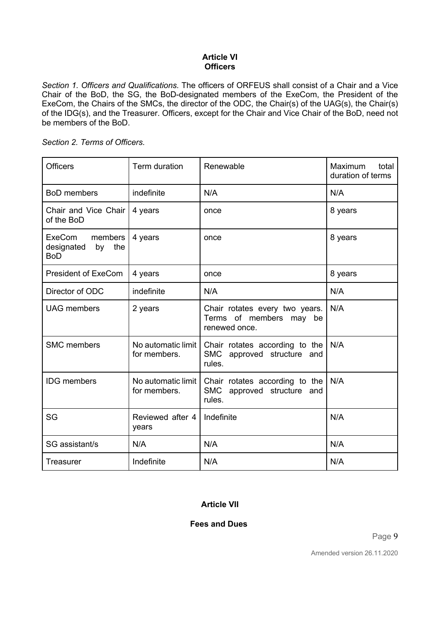## **Article VI Officers**

*Section 1. Officers and Qualifications.* The officers of ORFEUS shall consist of a Chair and a Vice Chair of the BoD, the SG, the BoD-designated members of the ExeCom, the President of the ExeCom, the Chairs of the SMCs, the director of the ODC, the Chair(s) of the UAG(s), the Chair(s) of the IDG(s), and the Treasurer. Officers, except for the Chair and Vice Chair of the BoD, need not be members of the BoD.

|  | Section 2. Terms of Officers. |
|--|-------------------------------|
|--|-------------------------------|

| <b>Officers</b>                                            | Term duration                      | Renewable                                                                  | Maximum<br>total<br>duration of terms |
|------------------------------------------------------------|------------------------------------|----------------------------------------------------------------------------|---------------------------------------|
| <b>BoD</b> members                                         | indefinite                         | N/A                                                                        | N/A                                   |
| Chair and Vice Chair<br>of the BoD                         | 4 years                            | once                                                                       | 8 years                               |
| ExeCom<br>members<br>designated<br>the<br>by<br><b>BoD</b> | 4 years                            | once                                                                       | 8 years                               |
| <b>President of ExeCom</b>                                 | 4 years                            | once                                                                       | 8 years                               |
| Director of ODC                                            | indefinite                         | N/A                                                                        | N/A                                   |
| <b>UAG</b> members                                         | 2 years                            | Chair rotates every two years.<br>Terms of members may be<br>renewed once. | N/A                                   |
| <b>SMC</b> members                                         | No automatic limit<br>for members. | Chair rotates according to the<br>SMC approved structure and<br>rules.     | N/A                                   |
| <b>IDG</b> members                                         | No automatic limit<br>for members. | Chair rotates according to the<br>SMC approved structure and<br>rules.     | N/A                                   |
| SG                                                         | Reviewed after 4<br>years          | Indefinite                                                                 | N/A                                   |
| SG assistant/s                                             | N/A                                | N/A                                                                        | N/A                                   |
| <b>Treasurer</b>                                           | Indefinite                         | N/A                                                                        | N/A                                   |

# **Article VII**

# **Fees and Dues**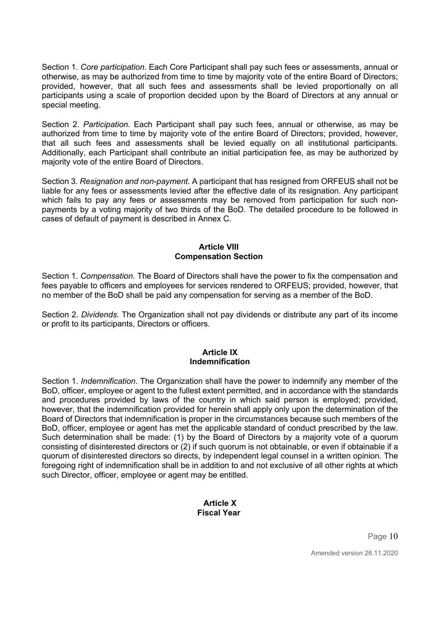Section 1. *Core participation*. Each Core Participant shall pay such fees or assessments, annual or otherwise, as may be authorized from time to time by majority vote of the entire Board of Directors; provided, however, that all such fees and assessments shall be levied proportionally on all participants using a scale of proportion decided upon by the Board of Directors at any annual or special meeting.

Section 2. *Participation.* Each Participant shall pay such fees, annual or otherwise, as may be authorized from time to time by majority vote of the entire Board of Directors; provided, however, that all such fees and assessments shall be levied equally on all institutional participants. Additionally, each Participant shall contribute an initial participation fee, as may be authorized by majority vote of the entire Board of Directors.

Section 3. *Resignation and non-payment.* A participant that has resigned from ORFEUS shall not be liable for any fees or assessments levied after the effective date of its resignation. Any participant which fails to pay any fees or assessments may be removed from participation for such nonpayments by a voting majority of two thirds of the BoD. The detailed procedure to be followed in cases of default of payment is described in Annex C.

## **Article VIII Compensation Section**

Section 1. *Compensation*. The Board of Directors shall have the power to fix the compensation and fees payable to officers and employees for services rendered to ORFEUS; provided, however, that no member of the BoD shall be paid any compensation for serving as a member of the BoD.

Section 2. *Dividends*. The Organization shall not pay dividends or distribute any part of its income or profit to its participants, Directors or officers.

### **Article IX Indemnification**

Section 1. *Indemnification*. The Organization shall have the power to indemnify any member of the BoD, officer, employee or agent to the fullest extent permitted, and in accordance with the standards and procedures provided by laws of the country in which said person is employed; provided, however, that the indemnification provided for herein shall apply only upon the determination of the Board of Directors that indemnification is proper in the circumstances because such members of the BoD, officer, employee or agent has met the applicable standard of conduct prescribed by the law. Such determination shall be made: (1) by the Board of Directors by a majority vote of a quorum consisting of disinterested directors or (2) if such quorum is not obtainable, or even if obtainable if a quorum of disinterested directors so directs, by independent legal counsel in a written opinion. The foregoing right of indemnification shall be in addition to and not exclusive of all other rights at which such Director, officer, employee or agent may be entitled.

### **Article X Fiscal Year**

Page 10

Amended version 26.11.2020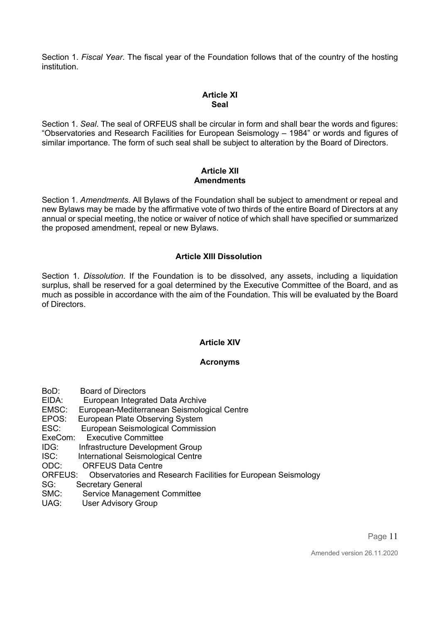Section 1. *Fiscal Year*. The fiscal year of the Foundation follows that of the country of the hosting institution.

## **Article XI Seal**

Section 1. *Seal*. The seal of ORFEUS shall be circular in form and shall bear the words and figures: "Observatories and Research Facilities for European Seismology – 1984" or words and figures of similar importance. The form of such seal shall be subject to alteration by the Board of Directors.

## **Article XII Amendments**

Section 1. *Amendments*. All Bylaws of the Foundation shall be subject to amendment or repeal and new Bylaws may be made by the affirmative vote of two thirds of the entire Board of Directors at any annual or special meeting, the notice or waiver of notice of which shall have specified or summarized the proposed amendment, repeal or new Bylaws.

# **Article XIII Dissolution**

Section 1. *Dissolution*. If the Foundation is to be dissolved, any assets, including a liquidation surplus, shall be reserved for a goal determined by the Executive Committee of the Board, and as much as possible in accordance with the aim of the Foundation. This will be evaluated by the Board of Directors.

# **Article XIV**

### **Acronyms**

- BoD: Board of Directors
- EIDA: European Integrated Data Archive
- EMSC: European-Mediterranean Seismological Centre
- EPOS: European Plate Observing System<br>ESC: European Seismological Commiss
- European Seismological Commission
- ExeCom: Executive Committee
- IDG: Infrastructure Development Group
- ISC: International Seismological Centre
- ODC: ORFEUS Data Centre
- ORFEUS: Observatories and Research Facilities for European Seismology
- SG: Secretary General<br>SMC: Service Managen
- Service Management Committee
- UAG: User Advisory Group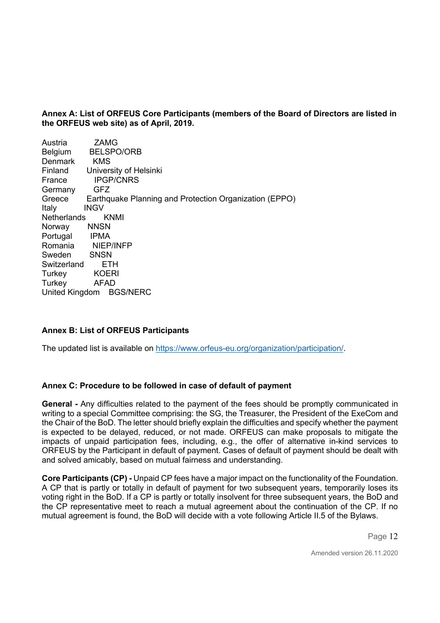**Annex A: List of ORFEUS Core Participants (members of the Board of Directors are listed in the ORFEUS web site) as of April, 2019.**

| Austria        | <b>ZAMG</b>                                            |
|----------------|--------------------------------------------------------|
| Belgium        | <b>BELSPO/ORB</b>                                      |
| Denmark        | <b>KMS</b>                                             |
| Finland        | University of Helsinki                                 |
| France         | <b>IPGP/CNRS</b>                                       |
| Germany        | <b>GFZ</b>                                             |
| Greece         | Earthquake Planning and Protection Organization (EPPO) |
| Italy          | <b>INGV</b>                                            |
| Netherlands    | <b>KNMI</b>                                            |
| Norway         | <b>NNSN</b>                                            |
| Portugal       | IPMA                                                   |
|                | Romania NIEP/INFP                                      |
| Sweden         | <b>SNSN</b>                                            |
| Switzerland    | ETH                                                    |
| Turkey         | <b>KOERI</b>                                           |
| Turkey         | <b>AFAD</b>                                            |
| United Kingdom | <b>BGS/NERC</b>                                        |
|                |                                                        |

### **Annex B: List of ORFEUS Participants**

The updated list is available on https://www.orfeus-eu.org/organization/participation/.

### **Annex C: Procedure to be followed in case of default of payment**

**General -** Any difficulties related to the payment of the fees should be promptly communicated in writing to a special Committee comprising: the SG, the Treasurer, the President of the ExeCom and the Chair of the BoD. The letter should briefly explain the difficulties and specify whether the payment is expected to be delayed, reduced, or not made. ORFEUS can make proposals to mitigate the impacts of unpaid participation fees, including, e.g., the offer of alternative in-kind services to ORFEUS by the Participant in default of payment. Cases of default of payment should be dealt with and solved amicably, based on mutual fairness and understanding.

**Core Participants (CP) -** Unpaid CP fees have a major impact on the functionality of the Foundation. A CP that is partly or totally in default of payment for two subsequent years, temporarily loses its voting right in the BoD. If a CP is partly or totally insolvent for three subsequent years, the BoD and the CP representative meet to reach a mutual agreement about the continuation of the CP. If no mutual agreement is found, the BoD will decide with a vote following Article II.5 of the Bylaws.